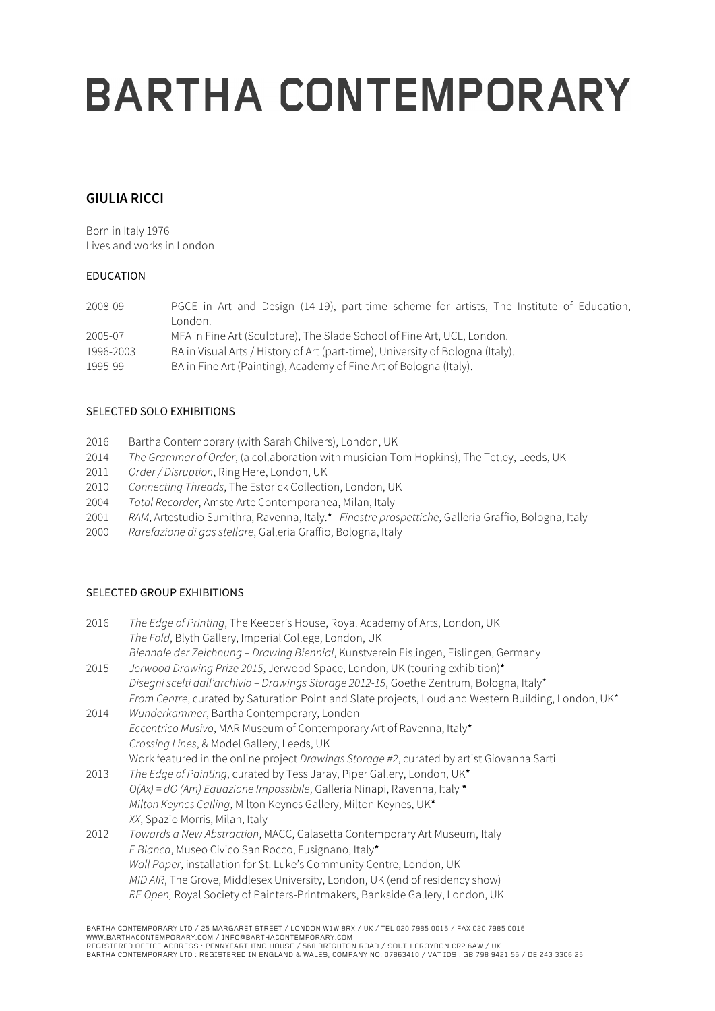# **BARTHA CONTEMPORARY**

### **GIULIA RICCI**

Born in Italy 1976 Lives and works in London

### EDUCATION

| 2008-09   | PGCE in Art and Design (14-19), part-time scheme for artists, The Institute of Education,<br>London. |
|-----------|------------------------------------------------------------------------------------------------------|
| 2005-07   | MFA in Fine Art (Sculpture), The Slade School of Fine Art, UCL, London.                              |
| 1996-2003 | BA in Visual Arts / History of Art (part-time), University of Bologna (Italy).                       |
| 1995-99   | BA in Fine Art (Painting), Academy of Fine Art of Bologna (Italy).                                   |

### SELECTED SOLO EXHIBITIONS

- 2016 Bartha Contemporary (with Sarah Chilvers), London, UK
- 2014 *The Grammar of Order*, (a collaboration with musician Tom Hopkins), The Tetley, Leeds, UK
- 2011 *Order / Disruption*, Ring Here, London, UK
- 2010 *Connecting Threads*, The Estorick Collection, London, UK
- 2004 *Total Recorder*, Amste Arte Contemporanea, Milan, Italy
- 2001 *RAM*, Artestudio Sumithra, Ravenna, Italy.\* *Finestre prospettiche*, Galleria Graffio, Bologna, Italy
- 2000 *Rarefazione di gas stellare*, Galleria Graffio, Bologna, Italy

### SELECTED GROUP EXHIBITIONS

| 2016 | The Edge of Printing, The Keeper's House, Royal Academy of Arts, London, UK                         |
|------|-----------------------------------------------------------------------------------------------------|
|      | The Fold, Blyth Gallery, Imperial College, London, UK                                               |
|      | Biennale der Zeichnung - Drawing Biennial, Kunstverein Eislingen, Eislingen, Germany                |
| 2015 | Jerwood Drawing Prize 2015, Jerwood Space, London, UK (touring exhibition)*                         |
|      | Disegni scelti dall'archivio - Drawings Storage 2012-15, Goethe Zentrum, Bologna, Italy*            |
|      | From Centre, curated by Saturation Point and Slate projects, Loud and Western Building, London, UK* |
| 2014 | Wunderkammer, Bartha Contemporary, London                                                           |
|      | Eccentrico Musivo, MAR Museum of Contemporary Art of Ravenna, Italy*                                |
|      | Crossing Lines, & Model Gallery, Leeds, UK                                                          |
|      | Work featured in the online project Drawings Storage #2, curated by artist Giovanna Sarti           |
| 2013 | The Edge of Painting, curated by Tess Jaray, Piper Gallery, London, UK*                             |
|      | $O(Ax) = dO (Am) Equazione Impossibile, Galleria Ninapi, Ravenna, Italy*$                           |
|      | Milton Keynes Calling, Milton Keynes Gallery, Milton Keynes, UK*                                    |
|      | XX, Spazio Morris, Milan, Italy                                                                     |
| 2012 | Towards a New Abstraction, MACC, Calasetta Contemporary Art Museum, Italy                           |
|      | E Bianca, Museo Civico San Rocco, Fusignano, Italy*                                                 |
|      | Wall Paper, installation for St. Luke's Community Centre, London, UK                                |
|      | MID AIR, The Grove, Middlesex University, London, UK (end of residency show)                        |
|      | RE Open, Royal Society of Painters-Printmakers, Bankside Gallery, London, UK                        |
|      |                                                                                                     |

BARTHA CONTEMPORARY LTD / 25 MARGARET STREET / LONDON W1W 8RX / UK / TEL 020 7985 0015 / FAX 020 7985 0016 WWW.BARTHACONTEMPORARY.COM / INFO@BARTHACONTEMPORARY.COM

REGISTERED OFFICE ADDRESS : PENNYFARTHING HOUSE / 560 BRIGHTON ROAD / SOUTH CROYDON CR2 6AW / UK<br>BARTHA CONTEMPORARY LTD : REGISTERED IN ENGLAND & WALES, COMPANY NO. 07863410 / VAT IDS : GB 798 9421 55 / DE 243 3306 25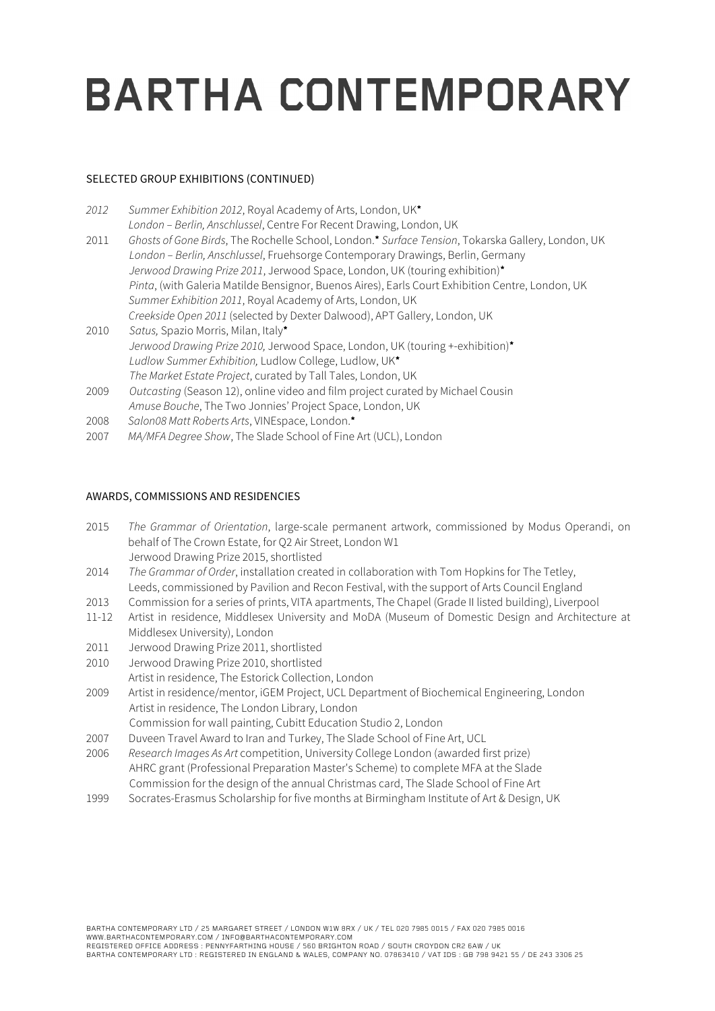## **BARTHA CONTEMPORARY**

### SELECTED GROUP EXHIBITIONS (CONTINUED)

| 2012 | Summer Exhibition 2012, Royal Academy of Arts, London, UK*                                        |
|------|---------------------------------------------------------------------------------------------------|
|      | London - Berlin, Anschlussel, Centre For Recent Drawing, London, UK                               |
| 2011 | Ghosts of Gone Birds, The Rochelle School, London.* Surface Tension, Tokarska Gallery, London, UK |
|      | London - Berlin, Anschlussel, Fruehsorge Contemporary Drawings, Berlin, Germany                   |
|      | Jerwood Drawing Prize 2011, Jerwood Space, London, UK (touring exhibition)*                       |
|      | Pinta, (with Galeria Matilde Bensignor, Buenos Aires), Earls Court Exhibition Centre, London, UK  |
|      | Summer Exhibition 2011, Royal Academy of Arts, London, UK                                         |
|      | Creekside Open 2011 (selected by Dexter Dalwood), APT Gallery, London, UK                         |
| 2010 | Satus, Spazio Morris, Milan, Italy*                                                               |
|      | Jerwood Drawing Prize 2010, Jerwood Space, London, UK (touring +-exhibition)*                     |
|      | Ludlow Summer Exhibition, Ludlow College, Ludlow, UK*                                             |
|      | The Market Estate Project, curated by Tall Tales, London, UK                                      |
| 2009 | Outcasting (Season 12), online video and film project curated by Michael Cousin                   |
|      | Amuse Bouche, The Two Jonnies' Project Space, London, UK                                          |
| 2008 | Salon08 Matt Roberts Arts, VINEspace, London.*                                                    |
| 2007 | MA/MFA Degree Show, The Slade School of Fine Art (UCL), London                                    |

#### AWARDS, COMMISSIONS AND RESIDENCIES

- 2015 *The Grammar of Orientation*, large-scale permanent artwork, commissioned by Modus Operandi, on behalf of The Crown Estate, for Q2 Air Street, London W1 Jerwood Drawing Prize 2015, shortlisted
- 2014 *The Grammar of Order*, installation created in collaboration with Tom Hopkins for The Tetley, Leeds, commissioned by Pavilion and Recon Festival, with the support of Arts Council England
- 2013 Commission for a series of prints, VITA apartments, The Chapel (Grade II listed building), Liverpool
- 11-12 Artist in residence, Middlesex University and MoDA (Museum of Domestic Design and Architecture at Middlesex University), London
- 2011 Jerwood Drawing Prize 2011, shortlisted
- 2010 Jerwood Drawing Prize 2010, shortlisted
	- Artist in residence, The Estorick Collection, London
- 2009 Artist in residence/mentor, iGEM Project, UCL Department of Biochemical Engineering, London Artist in residence, The London Library, London
	- Commission for wall painting, Cubitt Education Studio 2, London
- 2007 Duveen Travel Award to Iran and Turkey, The Slade School of Fine Art, UCL
- 2006 *Research Images As Art* competition, University College London (awarded first prize) AHRC grant (Professional Preparation Master's Scheme) to complete MFA at the Slade Commission for the design of the annual Christmas card, The Slade School of Fine Art
- 1999 Socrates-Erasmus Scholarship for five months at Birmingham Institute of Art & Design, UK